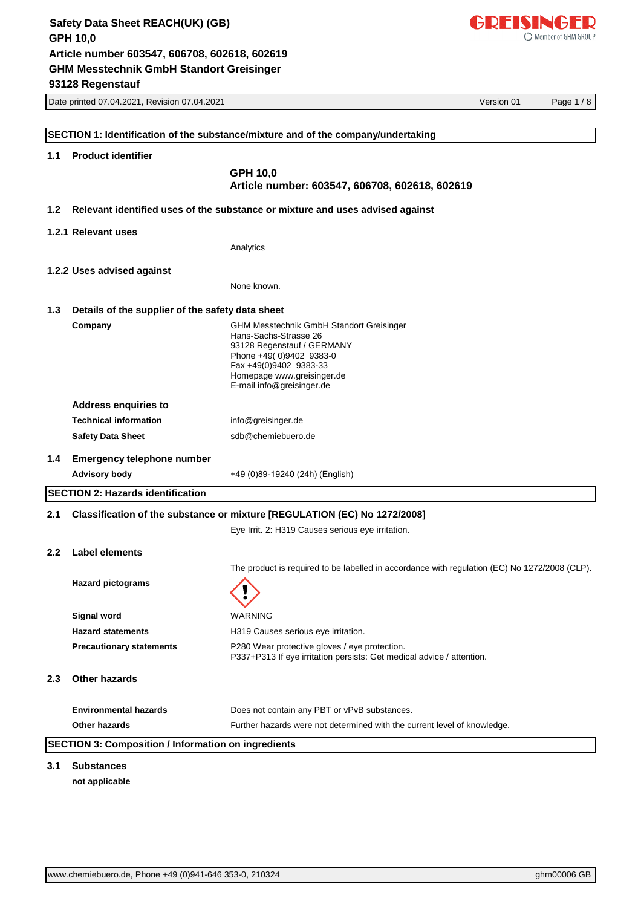

|                                           | Date printed 07.04.2021, Revision 07.04.2021                                                                           | Version 01<br>Page 1/8 |
|-------------------------------------------|------------------------------------------------------------------------------------------------------------------------|------------------------|
|                                           |                                                                                                                        |                        |
|                                           | SECTION 1: Identification of the substance/mixture and of the company/undertaking                                      |                        |
| <b>Product identifier</b><br>1.1          |                                                                                                                        |                        |
|                                           | GPH 10,0                                                                                                               |                        |
|                                           | Article number: 603547, 606708, 602618, 602619                                                                         |                        |
| 1.2                                       | Relevant identified uses of the substance or mixture and uses advised against                                          |                        |
| 1.2.1 Relevant uses                       |                                                                                                                        |                        |
|                                           | Analytics                                                                                                              |                        |
| 1.2.2 Uses advised against                |                                                                                                                        |                        |
|                                           | None known.                                                                                                            |                        |
|                                           |                                                                                                                        |                        |
| 1.3                                       | Details of the supplier of the safety data sheet                                                                       |                        |
| Company                                   | <b>GHM Messtechnik GmbH Standort Greisinger</b><br>Hans-Sachs-Strasse 26                                               |                        |
|                                           | 93128 Regenstauf / GERMANY                                                                                             |                        |
|                                           | Phone +49(0)9402 9383-0<br>Fax +49(0)9402 9383-33                                                                      |                        |
|                                           | Homepage www.greisinger.de<br>E-mail info@greisinger.de                                                                |                        |
| <b>Address enquiries to</b>               |                                                                                                                        |                        |
| <b>Technical information</b>              | info@greisinger.de                                                                                                     |                        |
| <b>Safety Data Sheet</b>                  | sdb@chemiebuero.de                                                                                                     |                        |
|                                           |                                                                                                                        |                        |
| 1.4                                       | <b>Emergency telephone number</b>                                                                                      |                        |
| <b>Advisory body</b>                      | +49 (0)89-19240 (24h) (English)                                                                                        |                        |
| <b>SECTION 2: Hazards identification</b>  |                                                                                                                        |                        |
| 2.1                                       | Classification of the substance or mixture [REGULATION (EC) No 1272/2008]                                              |                        |
|                                           | Eye Irrit. 2: H319 Causes serious eye irritation.                                                                      |                        |
| <b>Label elements</b><br>2.2 <sub>2</sub> |                                                                                                                        |                        |
|                                           | The product is required to be labelled in accordance with regulation (EC) No 1272/2008 (CLP).                          |                        |
| <b>Hazard pictograms</b>                  |                                                                                                                        |                        |
|                                           |                                                                                                                        |                        |
| Signal word                               | <b>WARNING</b>                                                                                                         |                        |
| <b>Hazard statements</b>                  | H319 Causes serious eye irritation.                                                                                    |                        |
| <b>Precautionary statements</b>           | P280 Wear protective gloves / eye protection.<br>P337+P313 If eye irritation persists: Get medical advice / attention. |                        |
| <b>Other hazards</b><br>2.3               |                                                                                                                        |                        |
| <b>Environmental hazards</b>              | Does not contain any PBT or vPvB substances.                                                                           |                        |
| Other hazards                             | Further hazards were not determined with the current level of knowledge.                                               |                        |
|                                           | <b>SECTION 3: Composition / Information on ingredients</b>                                                             |                        |
|                                           |                                                                                                                        |                        |

**not applicable**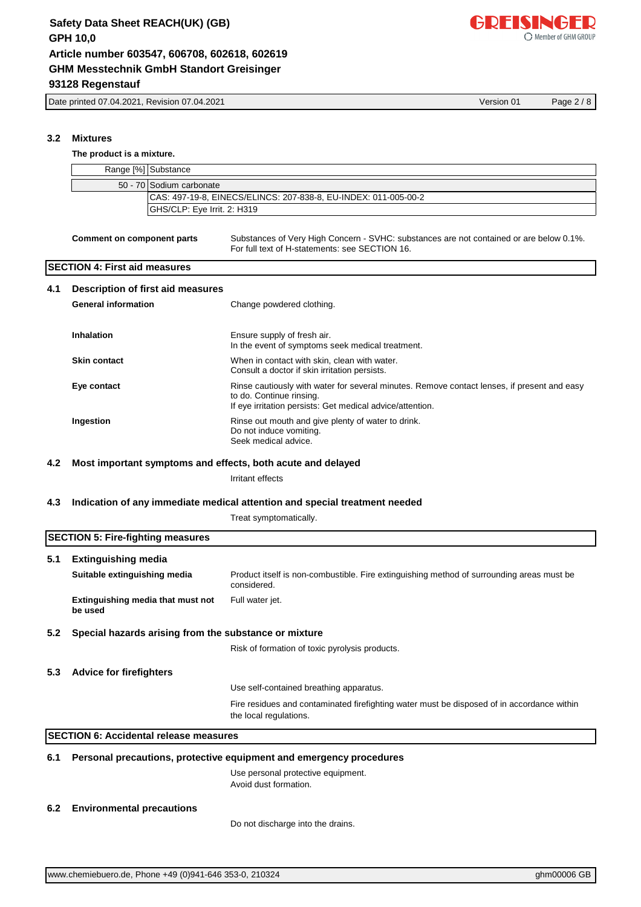Date printed 07.04.2021, Revision 07.04.2021 Version 01 Page 2 / 8

**The product is a mixture.**

**3.2 Mixtures**

|     | Range [%] Substance                                         |                                                                                                                                                                                      |
|-----|-------------------------------------------------------------|--------------------------------------------------------------------------------------------------------------------------------------------------------------------------------------|
|     | 50 - 70 Sodium carbonate                                    |                                                                                                                                                                                      |
|     |                                                             | CAS: 497-19-8, EINECS/ELINCS: 207-838-8, EU-INDEX: 011-005-00-2                                                                                                                      |
|     | GHS/CLP: Eye Irrit. 2: H319                                 |                                                                                                                                                                                      |
|     |                                                             |                                                                                                                                                                                      |
|     | <b>Comment on component parts</b>                           | Substances of Very High Concern - SVHC: substances are not contained or are below 0.1%.<br>For full text of H-statements: see SECTION 16.                                            |
|     | <b>SECTION 4: First aid measures</b>                        |                                                                                                                                                                                      |
| 4.1 | Description of first aid measures                           |                                                                                                                                                                                      |
|     | <b>General information</b>                                  | Change powdered clothing.                                                                                                                                                            |
|     |                                                             |                                                                                                                                                                                      |
|     | <b>Inhalation</b>                                           | Ensure supply of fresh air.<br>In the event of symptoms seek medical treatment.                                                                                                      |
|     | <b>Skin contact</b>                                         | When in contact with skin, clean with water.<br>Consult a doctor if skin irritation persists.                                                                                        |
|     | Eye contact                                                 | Rinse cautiously with water for several minutes. Remove contact lenses, if present and easy<br>to do. Continue rinsing.<br>If eye irritation persists: Get medical advice/attention. |
|     | Ingestion                                                   | Rinse out mouth and give plenty of water to drink.<br>Do not induce vomiting.<br>Seek medical advice.                                                                                |
|     |                                                             |                                                                                                                                                                                      |
| 4.2 | Most important symptoms and effects, both acute and delayed |                                                                                                                                                                                      |
|     |                                                             | Irritant effects                                                                                                                                                                     |
| 4.3 |                                                             | Indication of any immediate medical attention and special treatment needed                                                                                                           |
|     |                                                             | Treat symptomatically.                                                                                                                                                               |
|     |                                                             |                                                                                                                                                                                      |
|     | <b>SECTION 5: Fire-fighting measures</b>                    |                                                                                                                                                                                      |
| 5.1 | <b>Extinguishing media</b>                                  |                                                                                                                                                                                      |
|     | Suitable extinguishing media                                | Product itself is non-combustible. Fire extinguishing method of surrounding areas must be<br>considered.                                                                             |
|     | Extinguishing media that must not<br>be used                | Full water jet.                                                                                                                                                                      |
| 5.2 | Special hazards arising from the substance or mixture       |                                                                                                                                                                                      |
|     |                                                             | Risk of formation of toxic pyrolysis products.                                                                                                                                       |
| 5.3 | <b>Advice for firefighters</b>                              |                                                                                                                                                                                      |
|     |                                                             | Use self-contained breathing apparatus.                                                                                                                                              |
|     |                                                             | Fire residues and contaminated firefighting water must be disposed of in accordance within<br>the local regulations.                                                                 |
|     | <b>SECTION 6: Accidental release measures</b>               |                                                                                                                                                                                      |
| 6.1 |                                                             | Personal precautions, protective equipment and emergency procedures                                                                                                                  |
|     |                                                             | Use personal protective equipment.<br>Avoid dust formation.                                                                                                                          |
| 6.2 | <b>Environmental precautions</b>                            |                                                                                                                                                                                      |
|     |                                                             | Do not discharge into the drains.                                                                                                                                                    |

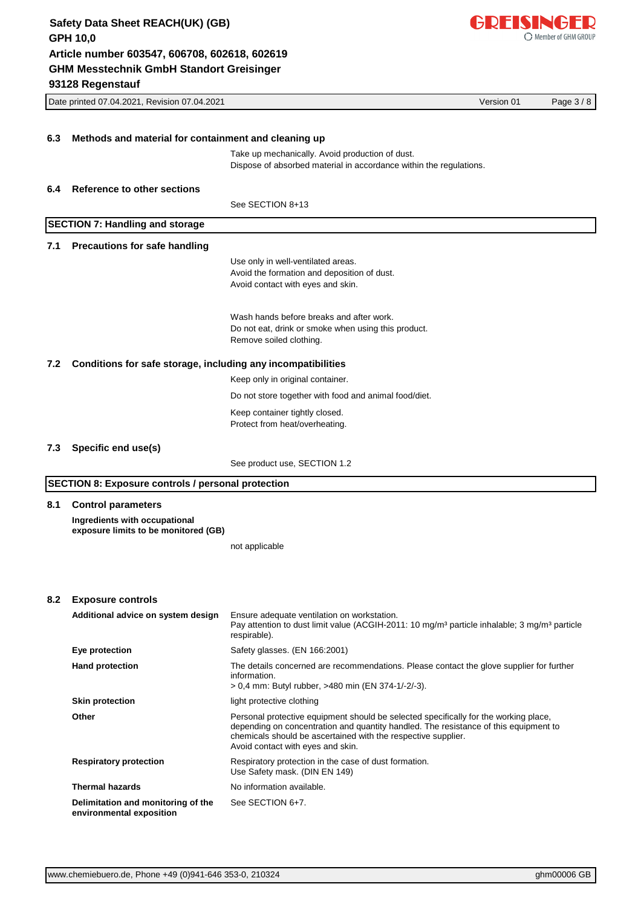

|                                                                     | Version 01<br>Date printed 07.04.2021, Revision 07.04.2021 |                                                                                                                            |  | Page 3/8 |
|---------------------------------------------------------------------|------------------------------------------------------------|----------------------------------------------------------------------------------------------------------------------------|--|----------|
|                                                                     |                                                            |                                                                                                                            |  |          |
| 6.3                                                                 | Methods and material for containment and cleaning up       |                                                                                                                            |  |          |
|                                                                     |                                                            | Take up mechanically. Avoid production of dust.<br>Dispose of absorbed material in accordance within the regulations.      |  |          |
| 6.4                                                                 | <b>Reference to other sections</b>                         |                                                                                                                            |  |          |
|                                                                     |                                                            | See SECTION 8+13                                                                                                           |  |          |
|                                                                     | <b>SECTION 7: Handling and storage</b>                     |                                                                                                                            |  |          |
| 7.1                                                                 | <b>Precautions for safe handling</b>                       |                                                                                                                            |  |          |
|                                                                     |                                                            | Use only in well-ventilated areas.<br>Avoid the formation and deposition of dust.<br>Avoid contact with eyes and skin.     |  |          |
|                                                                     |                                                            | Wash hands before breaks and after work.<br>Do not eat, drink or smoke when using this product.<br>Remove soiled clothing. |  |          |
| Conditions for safe storage, including any incompatibilities<br>7.2 |                                                            |                                                                                                                            |  |          |
|                                                                     |                                                            | Keep only in original container.                                                                                           |  |          |
|                                                                     |                                                            | Do not store together with food and animal food/diet.                                                                      |  |          |
|                                                                     |                                                            | Keep container tightly closed.<br>Protect from heat/overheating.                                                           |  |          |
| 7.3                                                                 | Specific end use(s)                                        |                                                                                                                            |  |          |
|                                                                     |                                                            | See product use, SECTION 1.2                                                                                               |  |          |
|                                                                     | <b>SECTION 8: Exposure controls / personal protection</b>  |                                                                                                                            |  |          |

#### **8.1 Control parameters**

**Ingredients with occupational exposure limits to be monitored (GB)**

not applicable

#### **8.2 Exposure controls**

| Additional advice on system design                             | Ensure adequate ventilation on workstation.<br>Pay attention to dust limit value (ACGIH-2011: 10 mg/m <sup>3</sup> particle inhalable: 3 mg/m <sup>3</sup> particle<br>respirable).                                                                                                |
|----------------------------------------------------------------|------------------------------------------------------------------------------------------------------------------------------------------------------------------------------------------------------------------------------------------------------------------------------------|
| Eye protection                                                 | Safety glasses. (EN 166:2001)                                                                                                                                                                                                                                                      |
| <b>Hand protection</b>                                         | The details concerned are recommendations. Please contact the glove supplier for further<br>information.<br>> 0.4 mm: Butyl rubber, >480 min (EN 374-1/-2/-3).                                                                                                                     |
| <b>Skin protection</b>                                         | light protective clothing                                                                                                                                                                                                                                                          |
| Other                                                          | Personal protective equipment should be selected specifically for the working place,<br>depending on concentration and quantity handled. The resistance of this equipment to<br>chemicals should be ascertained with the respective supplier.<br>Avoid contact with eyes and skin. |
| <b>Respiratory protection</b>                                  | Respiratory protection in the case of dust formation.<br>Use Safety mask. (DIN EN 149)                                                                                                                                                                                             |
| <b>Thermal hazards</b>                                         | No information available.                                                                                                                                                                                                                                                          |
| Delimitation and monitoring of the<br>environmental exposition | See SECTION 6+7.                                                                                                                                                                                                                                                                   |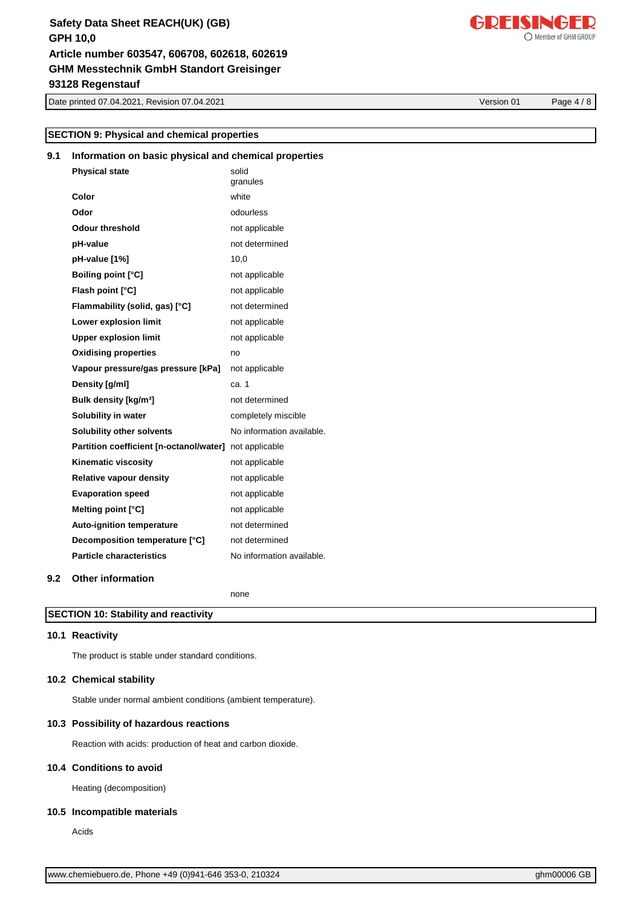Date printed 07.04.2021, Revision 07.04.2021 Version 01 Page 4 / 8

# **SECTION 9: Physical and chemical properties**

# **9.1 Information on basic physical and chemical properties**

| <b>Physical state</b>                                  | solid<br>granules         |
|--------------------------------------------------------|---------------------------|
| Color                                                  | white                     |
| Odor                                                   | odourless                 |
| <b>Odour threshold</b>                                 | not applicable            |
| pH-value                                               | not determined            |
| pH-value [1%]                                          | 10,0                      |
| <b>Boiling point [°C]</b>                              | not applicable            |
| Flash point [°C]                                       | not applicable            |
| Flammability (solid, gas) [°C]                         | not determined            |
| Lower explosion limit                                  | not applicable            |
| <b>Upper explosion limit</b>                           | not applicable            |
| <b>Oxidising properties</b>                            | no                        |
| Vapour pressure/gas pressure [kPa]                     | not applicable            |
| Density [g/ml]                                         | ca. 1                     |
| Bulk density [kg/m <sup>3</sup> ]                      | not determined            |
| Solubility in water                                    | completely miscible       |
| <b>Solubility other solvents</b>                       | No information available. |
| Partition coefficient [n-octanol/water] not applicable |                           |
| <b>Kinematic viscosity</b>                             | not applicable            |
| <b>Relative vapour density</b>                         | not applicable            |
| <b>Evaporation speed</b>                               | not applicable            |
| Melting point [°C]                                     | not applicable            |
| <b>Auto-ignition temperature</b>                       | not determined            |
| Decomposition temperature [°C]                         | not determined            |
| <b>Particle characteristics</b>                        | No information available. |
|                                                        |                           |

## **9.2 Other information**

none

## **SECTION 10: Stability and reactivity**

## **10.1 Reactivity**

The product is stable under standard conditions.

#### **10.2 Chemical stability**

Stable under normal ambient conditions (ambient temperature).

### **10.3 Possibility of hazardous reactions**

Reaction with acids: production of heat and carbon dioxide.

#### **10.4 Conditions to avoid**

Heating (decomposition)

#### **10.5 Incompatible materials**

Acids

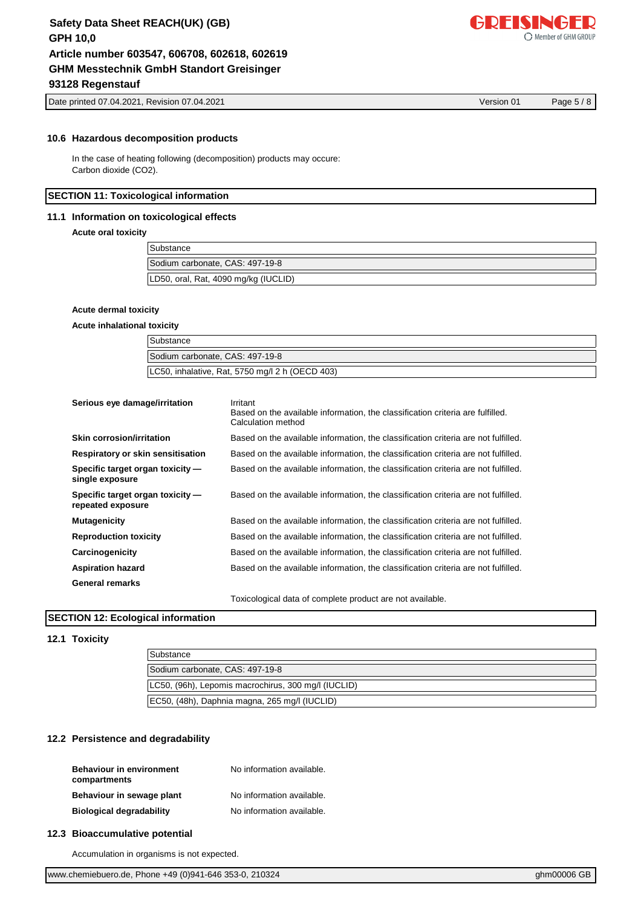Date printed 07.04.2021, Revision 07.04.2021 Version 01 Page 5 / 8

#### **10.6 Hazardous decomposition products**

In the case of heating following (decomposition) products may occure: Carbon dioxide (CO2).

#### **SECTION 11: Toxicological information**

### **11.1 Information on toxicological effects**

**Acute oral toxicity**

| Substance                            |  |
|--------------------------------------|--|
| Sodium carbonate, CAS: 497-19-8      |  |
| LD50, oral, Rat, 4090 mg/kg (IUCLID) |  |

#### **Acute dermal toxicity**

#### **Acute inhalational toxicity**

| Substance                                       |
|-------------------------------------------------|
| Sodium carbonate, CAS: 497-19-8                 |
| LC50, inhalative, Rat, 5750 mg/l 2 h (OECD 403) |

| Serious eye damage/irritation                         | Irritant<br>Based on the available information, the classification criteria are fulfilled.<br>Calculation method |
|-------------------------------------------------------|------------------------------------------------------------------------------------------------------------------|
| Skin corrosion/irritation                             | Based on the available information, the classification criteria are not fulfilled.                               |
| Respiratory or skin sensitisation                     | Based on the available information, the classification criteria are not fulfilled.                               |
| Specific target organ toxicity —<br>single exposure   | Based on the available information, the classification criteria are not fulfilled.                               |
| Specific target organ toxicity -<br>repeated exposure | Based on the available information, the classification criteria are not fulfilled.                               |
| <b>Mutagenicity</b>                                   | Based on the available information, the classification criteria are not fulfilled.                               |
| <b>Reproduction toxicity</b>                          | Based on the available information, the classification criteria are not fulfilled.                               |
| Carcinogenicity                                       | Based on the available information, the classification criteria are not fulfilled.                               |
| <b>Aspiration hazard</b>                              | Based on the available information, the classification criteria are not fulfilled.                               |
| General remarks                                       |                                                                                                                  |
|                                                       |                                                                                                                  |

Toxicological data of complete product are not available.

## **SECTION 12: Ecological information**

#### **12.1 Toxicity**

| Substance                                           |  |
|-----------------------------------------------------|--|
| Sodium carbonate, CAS: 497-19-8                     |  |
| LC50, (96h), Lepomis macrochirus, 300 mg/l (IUCLID) |  |
| EC50, (48h), Daphnia magna, 265 mg/l (IUCLID)       |  |

### **12.2 Persistence and degradability**

| <b>Behaviour in environment</b><br>compartments | No information available. |
|-------------------------------------------------|---------------------------|
| Behaviour in sewage plant                       | No information available. |
| <b>Biological degradability</b>                 | No information available. |

#### **12.3 Bioaccumulative potential**

Accumulation in organisms is not expected.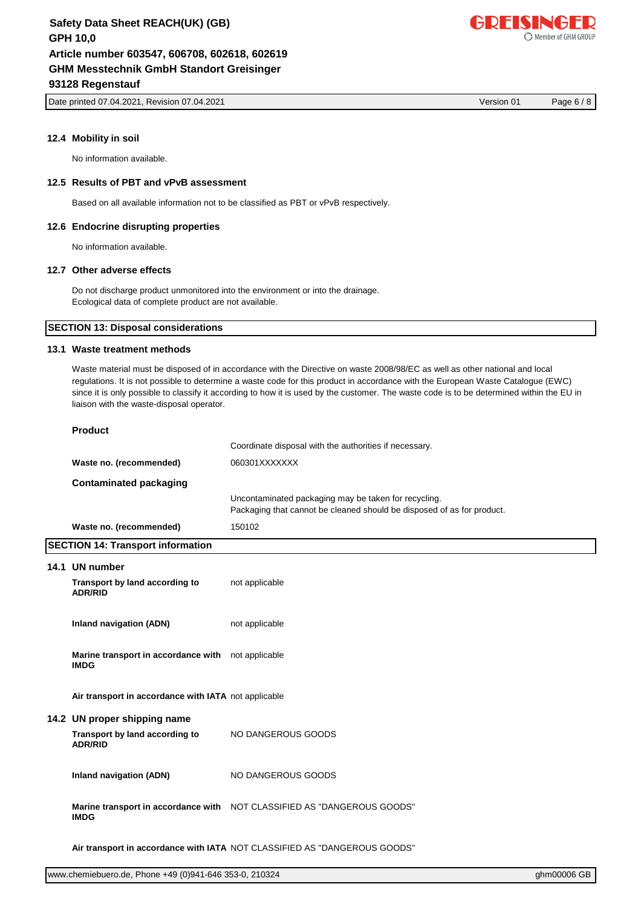Date printed 07.04.2021, Revision 07.04.2021 Version 01 Page 6 / 8

# **12.4 Mobility in soil**

No information available.

## **12.5 Results of PBT and vPvB assessment**

Based on all available information not to be classified as PBT or vPvB respectively.

## **12.6 Endocrine disrupting properties**

No information available.

## **12.7 Other adverse effects**

Do not discharge product unmonitored into the environment or into the drainage. Ecological data of complete product are not available.

## **SECTION 13: Disposal considerations**

## **13.1 Waste treatment methods**

Waste material must be disposed of in accordance with the Directive on waste 2008/98/EC as well as other national and local regulations. It is not possible to determine a waste code for this product in accordance with the European Waste Catalogue (EWC) since it is only possible to classify it according to how it is used by the customer. The waste code is to be determined within the EU in liaison with the waste-disposal operator.

| roduc |
|-------|
|       |

|                         | Coordinate disposal with the authorities if necessary.                                                                         |
|-------------------------|--------------------------------------------------------------------------------------------------------------------------------|
| Waste no. (recommended) | 060301XXXXXXX                                                                                                                  |
| Contaminated packaging  |                                                                                                                                |
|                         | Uncontaminated packaging may be taken for recycling.<br>Packaging that cannot be cleaned should be disposed of as for product. |
| Waste no. (recommended) | 150102                                                                                                                         |

| <b>SECTION 14: Transport information</b>                          |                                                                           |  |  |  |
|-------------------------------------------------------------------|---------------------------------------------------------------------------|--|--|--|
| 14.1 UN number                                                    |                                                                           |  |  |  |
| Transport by land according to<br><b>ADR/RID</b>                  | not applicable                                                            |  |  |  |
| Inland navigation (ADN)                                           | not applicable                                                            |  |  |  |
| Marine transport in accordance with not applicable<br><b>IMDG</b> |                                                                           |  |  |  |
| Air transport in accordance with IATA not applicable              |                                                                           |  |  |  |
| 14.2 UN proper shipping name                                      |                                                                           |  |  |  |
| Transport by land according to<br><b>ADR/RID</b>                  | NO DANGEROUS GOODS                                                        |  |  |  |
| Inland navigation (ADN)                                           | NO DANGEROUS GOODS                                                        |  |  |  |
| <b>IMDG</b>                                                       | Marine transport in accordance with NOT CLASSIFIED AS "DANGEROUS GOODS"   |  |  |  |
|                                                                   | Air transport in accordance with IATA NOT CLASSIFIED AS "DANGEROUS GOODS" |  |  |  |

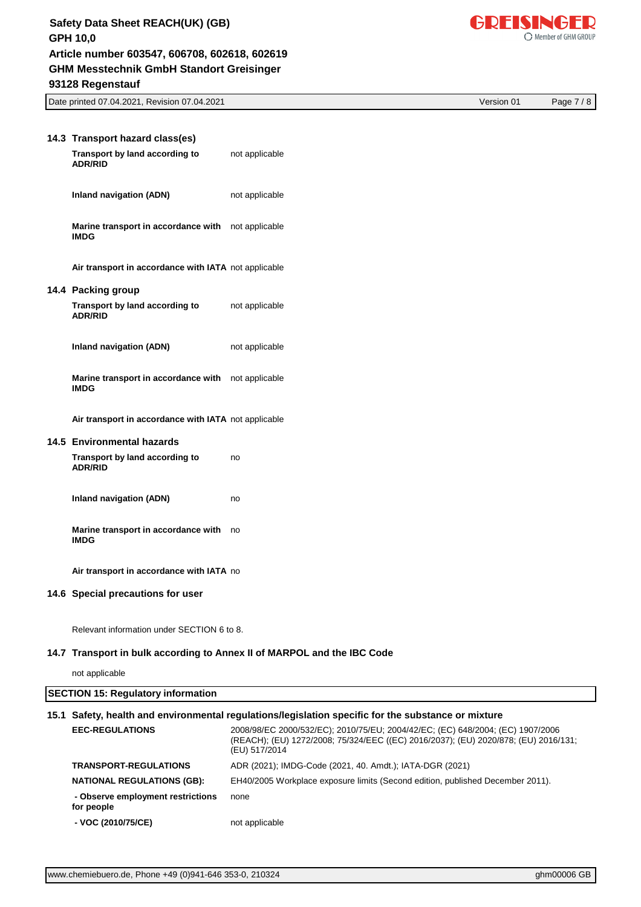

Date printed 07.04.2021, Revision 07.04.2021 Version 01 Page 7 / 8

| 14.3 Transport hazard class(es)                                   |                |
|-------------------------------------------------------------------|----------------|
| Transport by land according to<br><b>ADR/RID</b>                  | not applicable |
| <b>Inland navigation (ADN)</b>                                    | not applicable |
| Marine transport in accordance with not applicable<br><b>IMDG</b> |                |
| Air transport in accordance with IATA not applicable              |                |
| 14.4 Packing group                                                |                |
| Transport by land according to<br><b>ADR/RID</b>                  | not applicable |
| <b>Inland navigation (ADN)</b>                                    | not applicable |
| Marine transport in accordance with not applicable<br><b>IMDG</b> |                |
| Air transport in accordance with IATA not applicable              |                |
| 14.5 Environmental hazards                                        |                |
| Transport by land according to<br><b>ADR/RID</b>                  | no             |
| Inland navigation (ADN)                                           | no             |
| Marine transport in accordance with<br><b>IMDG</b>                | no no          |
| Air transport in accordance with IATA no                          |                |
| 14.6 Special precautions for user                                 |                |

Relevant information under SECTION 6 to 8.

## **14.7 Transport in bulk according to Annex II of MARPOL and the IBC Code**

not applicable

| <b>SECTION 15: Regulatory information</b>                                                           |                                                                                                                                                                                        |  |  |  |
|-----------------------------------------------------------------------------------------------------|----------------------------------------------------------------------------------------------------------------------------------------------------------------------------------------|--|--|--|
| 15.1 Safety, health and environmental regulations/legislation specific for the substance or mixture |                                                                                                                                                                                        |  |  |  |
| <b>EEC-REGULATIONS</b>                                                                              | 2008/98/EC 2000/532/EC); 2010/75/EU; 2004/42/EC; (EC) 648/2004; (EC) 1907/2006<br>(REACH); (EU) 1272/2008; 75/324/EEC ((EC) 2016/2037); (EU) 2020/878; (EU) 2016/131;<br>(EU) 517/2014 |  |  |  |
| <b>TRANSPORT-REGULATIONS</b>                                                                        | ADR (2021); IMDG-Code (2021, 40. Amdt.); IATA-DGR (2021)                                                                                                                               |  |  |  |
| <b>NATIONAL REGULATIONS (GB):</b>                                                                   | EH40/2005 Workplace exposure limits (Second edition, published December 2011).                                                                                                         |  |  |  |
| - Observe employment restrictions<br>for people                                                     | none                                                                                                                                                                                   |  |  |  |
| - VOC (2010/75/CE)                                                                                  | not applicable                                                                                                                                                                         |  |  |  |